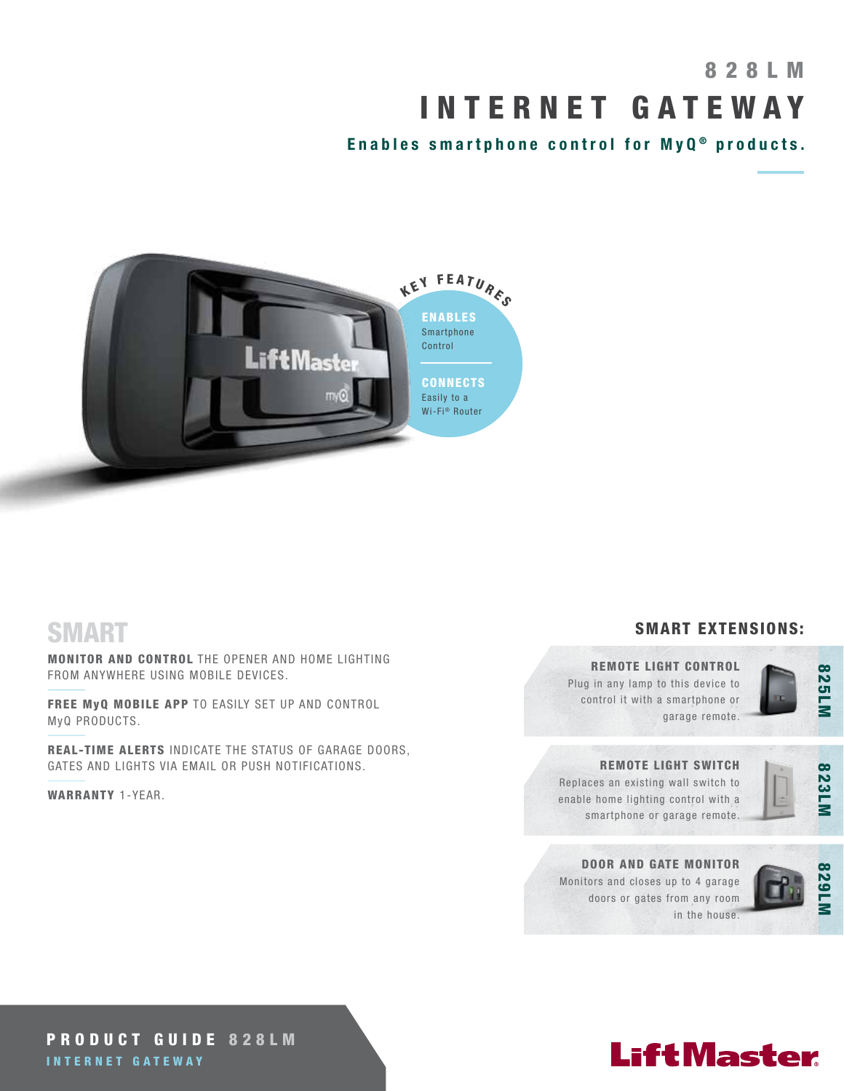# 8 2 8 L M INTERNET GATEWAY

Enables smartphone control for  $MyQ<sup>®</sup>$  products.



### SMART

MONITOR AND CONTROL THE OPENER AND HOME LIGHTING FROM ANYWHERE USING MOBILE DEVICES.

FREE MyQ MOBILE APP TO EASILY SET UP AND CONTROL MyQ PRODUCTS.

REAL-TIME ALERTS INDICATE THE STATUS OF GARAGE DOORS, GATES AND LIGHTS VIA EMAIL OR PUSH NOTIFICATIONS.

WARRANTY 1-YEAR.

### SMART EXTENSIONS:

### REMOTE LIGHT CONTROL

Plug in any lamp to this device to control it with a smartphone or garage remote.



### REMOTE LIGHT SWITCH

Replaces an existing wall switch to enable home lighting control with a smartphone or garage remote.



### DOOR AND GATE MONITOR Monitors and closes up to 4 garage doors or gates from any room in the house.



### PRODUCT GUIDE 828LM INTERNET GATEWAY

# **LiftMaster**